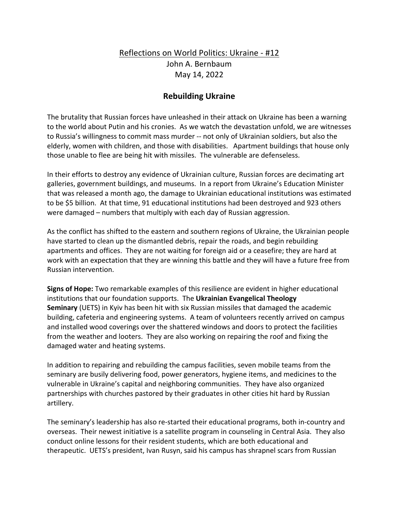## Reflections on World Politics: Ukraine - #12 John A. Bernbaum May 14, 2022

## **Rebuilding Ukraine**

The brutality that Russian forces have unleashed in their attack on Ukraine has been a warning to the world about Putin and his cronies. As we watch the devastation unfold, we are witnesses to Russia's willingness to commit mass murder -- not only of Ukrainian soldiers, but also the elderly, women with children, and those with disabilities. Apartment buildings that house only those unable to flee are being hit with missiles. The vulnerable are defenseless.

In their efforts to destroy any evidence of Ukrainian culture, Russian forces are decimating art galleries, government buildings, and museums. In a report from Ukraine's Education Minister that was released a month ago, the damage to Ukrainian educational institutions was estimated to be \$5 billion. At that time, 91 educational institutions had been destroyed and 923 others were damaged – numbers that multiply with each day of Russian aggression.

As the conflict has shifted to the eastern and southern regions of Ukraine, the Ukrainian people have started to clean up the dismantled debris, repair the roads, and begin rebuilding apartments and offices. They are not waiting for foreign aid or a ceasefire; they are hard at work with an expectation that they are winning this battle and they will have a future free from Russian intervention.

**Signs of Hope:** Two remarkable examples of this resilience are evident in higher educational institutions that our foundation supports. The **Ukrainian Evangelical Theology Seminary** (UETS) in Kyiv has been hit with six Russian missiles that damaged the academic building, cafeteria and engineering systems. A team of volunteers recently arrived on campus and installed wood coverings over the shattered windows and doors to protect the facilities from the weather and looters. They are also working on repairing the roof and fixing the damaged water and heating systems.

In addition to repairing and rebuilding the campus facilities, seven mobile teams from the seminary are busily delivering food, power generators, hygiene items, and medicines to the vulnerable in Ukraine's capital and neighboring communities. They have also organized partnerships with churches pastored by their graduates in other cities hit hard by Russian artillery.

The seminary's leadership has also re-started their educational programs, both in-country and overseas. Their newest initiative is a satellite program in counseling in Central Asia. They also conduct online lessons for their resident students, which are both educational and therapeutic. UETS's president, Ivan Rusyn, said his campus has shrapnel scars from Russian